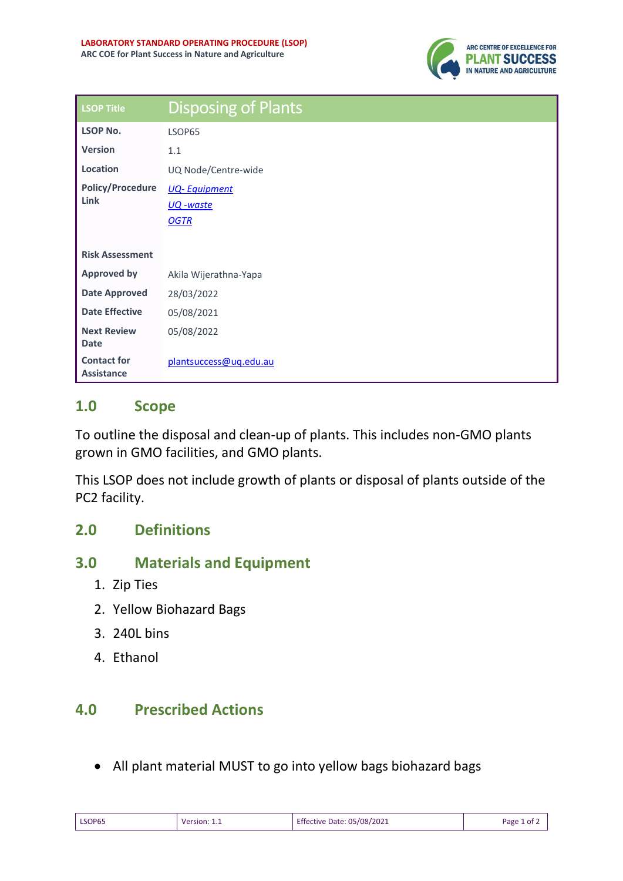

| <b>LSOP Title</b>                       | <b>Disposing of Plants</b> |
|-----------------------------------------|----------------------------|
| <b>LSOP No.</b>                         | LSOP65                     |
| <b>Version</b>                          | 1.1                        |
| Location                                | UQ Node/Centre-wide        |
| <b>Policy/Procedure</b>                 | <b>UQ-Equipment</b>        |
| Link                                    | <u> UQ</u> -waste          |
|                                         | <b>OGTR</b>                |
|                                         |                            |
| <b>Risk Assessment</b>                  |                            |
| <b>Approved by</b>                      | Akila Wijerathna-Yapa      |
| <b>Date Approved</b>                    | 28/03/2022                 |
| <b>Date Effective</b>                   | 05/08/2021                 |
| <b>Next Review</b>                      | 05/08/2022                 |
| <b>Date</b>                             |                            |
| <b>Contact for</b><br><b>Assistance</b> | plantsuccess@ug.edu.au     |

## **1.0 Scope**

To outline the disposal and clean-up of plants. This includes non-GMO plants grown in GMO facilities, and GMO plants.

This LSOP does not include growth of plants or disposal of plants outside of the PC2 facility.

## **2.0 Definitions**

## **3.0 Materials and Equipment**

- 1. Zip Ties
- 2. Yellow Biohazard Bags
- 3. 240L bins
- 4. Ethanol

## **4.0 Prescribed Actions**

• All plant material MUST to go into yellow bags biohazard bags

| LSOP65 | Version: 1.1 | Effective Date: 05/08/2021 | Page 1 of 2 |
|--------|--------------|----------------------------|-------------|
|        |              |                            |             |